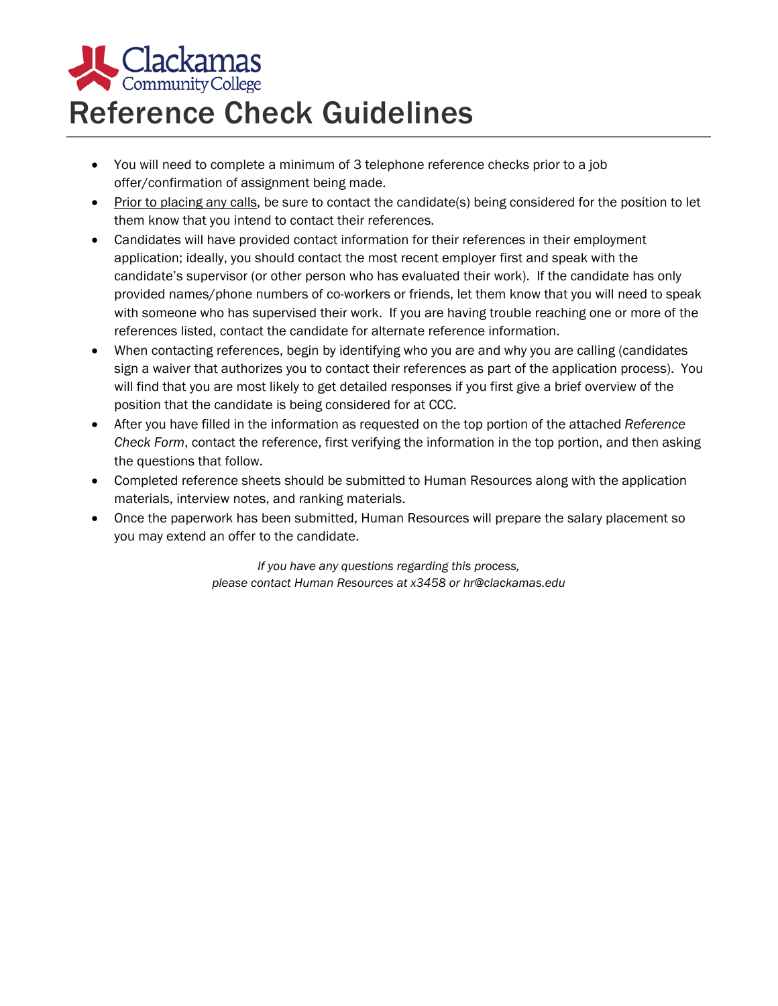

## Reference Check Guidelines

- You will need to complete a minimum of 3 telephone reference checks prior to a job offer/confirmation of assignment being made.
- Prior to placing any calls, be sure to contact the candidate(s) being considered for the position to let them know that you intend to contact their references.
- Candidates will have provided contact information for their references in their employment application; ideally, you should contact the most recent employer first and speak with the candidate's supervisor (or other person who has evaluated their work). If the candidate has only provided names/phone numbers of co-workers or friends, let them know that you will need to speak with someone who has supervised their work. If you are having trouble reaching one or more of the references listed, contact the candidate for alternate reference information.
- When contacting references, begin by identifying who you are and why you are calling (candidates sign a waiver that authorizes you to contact their references as part of the application process). You will find that you are most likely to get detailed responses if you first give a brief overview of the position that the candidate is being considered for at CCC.
- After you have filled in the information as requested on the top portion of the attached *Reference Check Form*, contact the reference, first verifying the information in the top portion, and then asking the questions that follow.
- Completed reference sheets should be submitted to Human Resources along with the application materials, interview notes, and ranking materials.
- Once the paperwork has been submitted, Human Resources will prepare the salary placement so you may extend an offer to the candidate.

*If you have any questions regarding this process, please contact Human Resources at x3458 or hr@clackamas.edu*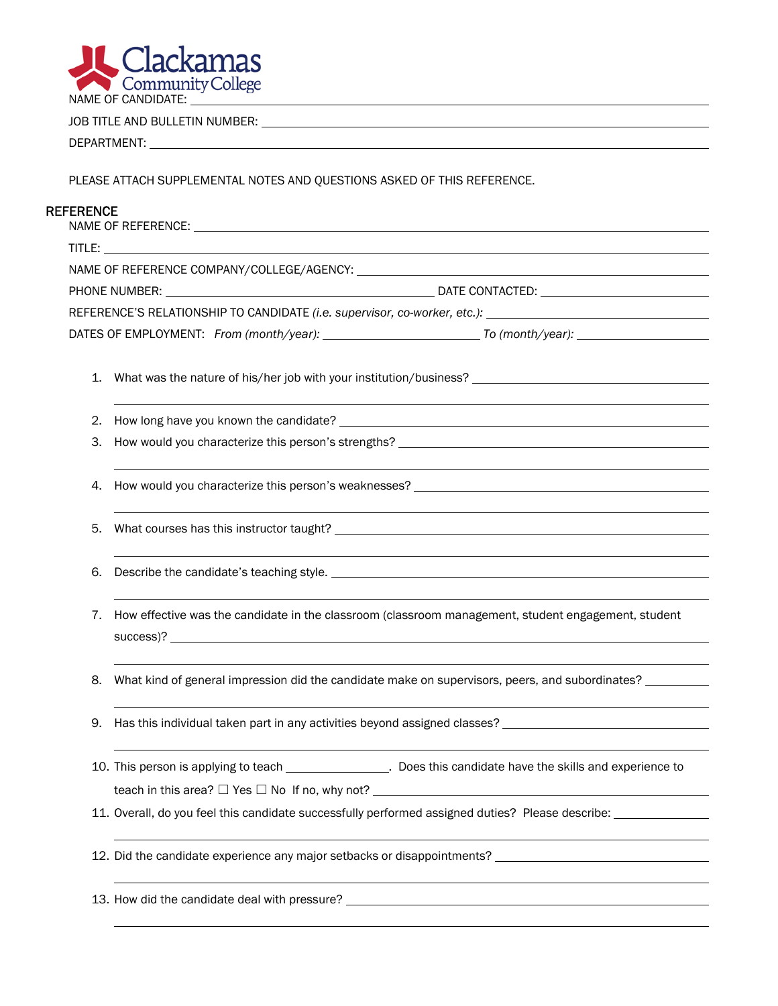

JOB TITLE AND BULLETIN NUMBER:

DEPARTMENT:

PLEASE ATTACH SUPPLEMENTAL NOTES AND QUESTIONS ASKED OF THIS REFERENCE.

## **REFERENCE**

| 2. |                                                                                                                                                                                                                                                                                                                                                         |
|----|---------------------------------------------------------------------------------------------------------------------------------------------------------------------------------------------------------------------------------------------------------------------------------------------------------------------------------------------------------|
| З. |                                                                                                                                                                                                                                                                                                                                                         |
| 4. | How would you characterize this person's weaknesses? Learning and the state of the state of the state of the state of the state of the state of the state of the state of the state of the state of the state of the state of                                                                                                                           |
| 5. | <u> 1989 - Johann Stoff, deutscher Stoffen und der Stoffen und der Stoffen und der Stoffen und der Stoffen und de</u><br>What courses has this instructor taught? Department of the control of the control of the control of the control of the control of the control of the control of the control of the control of the control of the control of th |
| 6. |                                                                                                                                                                                                                                                                                                                                                         |
| 7. | How effective was the candidate in the classroom (classroom management, student engagement, student<br>success)?                                                                                                                                                                                                                                        |
| 8. | What kind of general impression did the candidate make on supervisors, peers, and subordinates?                                                                                                                                                                                                                                                         |
| 9. |                                                                                                                                                                                                                                                                                                                                                         |
|    | 10. This person is applying to teach __________________. Does this candidate have the skills and experience to                                                                                                                                                                                                                                          |
|    | teach in this area? □ Yes □ No If no, why not?<br><u> 1989 - Johann John Stein, markin fyrstu og fyrstu og fyrir og fyrir og fyrir og fyrir og fyrir og fyrir og f</u>                                                                                                                                                                                  |
|    | 11. Overall, do you feel this candidate successfully performed assigned duties? Please describe:                                                                                                                                                                                                                                                        |
|    | 12. Did the candidate experience any major setbacks or disappointments? ____________________________                                                                                                                                                                                                                                                    |
|    |                                                                                                                                                                                                                                                                                                                                                         |